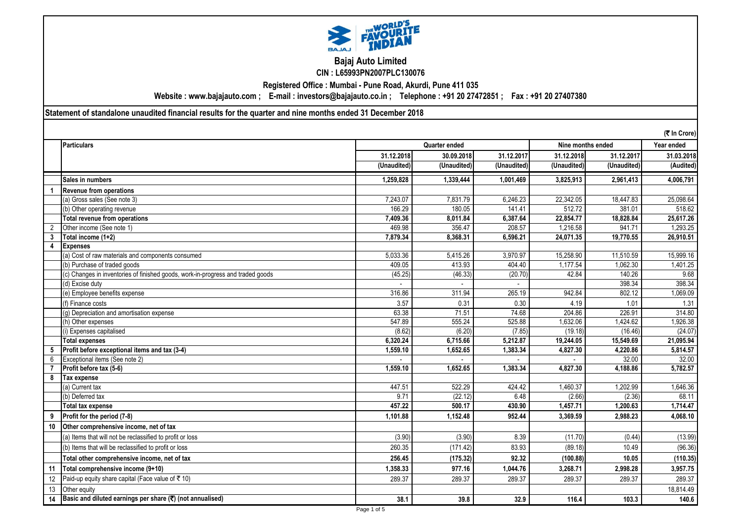

# **Bajaj Auto Limited CIN : L65993PN2007PLC130076**

**Registered Office : Mumbai - Pune Road, Akurdi, Pune 411 035**

**Website : www.bajajauto.com ; E-mail : investors@bajajauto.co.in ; Telephone : +91 20 27472851 ; Fax : +91 20 27407380**

**Statement of standalone unaudited financial results for the quarter and nine months ended 31 December 2018**

|    |                                                                                 |               |             |             |             |                   | (₹ In Crore)           |  |
|----|---------------------------------------------------------------------------------|---------------|-------------|-------------|-------------|-------------------|------------------------|--|
|    | <b>Particulars</b>                                                              | Quarter ended |             |             |             | Nine months ended |                        |  |
|    |                                                                                 | 31.12.2018    | 30.09.2018  | 31.12.2017  | 31.12.2018  | 31.12.2017        | 31.03.2018             |  |
|    |                                                                                 | (Unaudited)   | (Unaudited) | (Unaudited) | (Unaudited) | (Unaudited)       | $\overline{(Audited)}$ |  |
|    | Sales in numbers                                                                | 1,259,828     | 1,339,444   | 1,001,469   | 3,825,913   | 2,961,413         | 4,006,791              |  |
|    | <b>Revenue from operations</b>                                                  |               |             |             |             |                   |                        |  |
|    | (a) Gross sales (See note 3)                                                    | 7.243.07      | 7.831.79    | 6.246.23    | 22,342.05   | 18,447.83         | 25,098.64              |  |
|    | (b) Other operating revenue                                                     | 166.29        | 180.05      | 141.41      | 512.72      | 381.01            | 518.62                 |  |
|    | <b>Total revenue from operations</b>                                            | 7,409.36      | 8,011.84    | 6,387.64    | 22,854.77   | 18,828.84         | 25,617.26              |  |
|    | Other income (See note 1)                                                       | 469.98        | 356.47      | 208.57      | 1,216.58    | 941.71            | 1,293.25               |  |
| 3  | Total income (1+2)                                                              | 7,879.34      | 8,368.31    | 6.596.21    | 24,071.35   | 19,770.55         | 26,910.51              |  |
| 4  | <b>Expenses</b>                                                                 |               |             |             |             |                   |                        |  |
|    | (a) Cost of raw materials and components consumed                               | 5,033.36      | 5,415.26    | 3,970.97    | 15,258.90   | 11,510.59         | 15,999.16              |  |
|    | (b) Purchase of traded goods                                                    | 409.05        | 413.93      | 404.40      | 1,177.54    | 1,062.30          | 1,401.25               |  |
|    | (c) Changes in inventories of finished goods, work-in-progress and traded goods | (45.25)       | (46.33)     | (20.70)     | 42.84       | 140.26            | 9.68                   |  |
|    | (d) Excise duty                                                                 |               |             |             |             | 398.34            | 398.34                 |  |
|    | (e) Employee benefits expense                                                   | 316.86        | 311.94      | 265.19      | 942.84      | 802.12            | 1,069.09               |  |
|    | (f) Finance costs                                                               | 3.57          | 0.31        | 0.30        | 4.19        | 1.01              | 1.31                   |  |
|    | (g) Depreciation and amortisation expense                                       | 63.38         | 71.51       | 74.68       | 204.86      | 226.91            | 314.80                 |  |
|    | (h) Other expenses                                                              | 547.89        | 555.24      | 525.88      | 1,632.06    | 1,424.62          | 1,926.38               |  |
|    | (i) Expenses capitalised                                                        | (8.62)        | (6.20)      | (7.85)      | (19.18)     | (16.46)           | (24.07)                |  |
|    | <b>Total expenses</b>                                                           | 6,320.24      | 6,715.66    | 5.212.87    | 19,244.05   | 15,549.69         | 21,095.94              |  |
| 5  | Profit before exceptional items and tax (3-4)                                   | 1,559.10      | 1,652.65    | 1,383.34    | 4,827.30    | 4,220.86          | 5,814.57               |  |
| 6  | Exceptional items (See note 2)                                                  |               |             |             |             | 32.00             | 32.00                  |  |
|    | Profit before tax (5-6)                                                         | 1,559.10      | 1,652.65    | 1,383.34    | 4,827.30    | 4,188.86          | 5,782.57               |  |
| 8  | <b>Tax expense</b>                                                              |               |             |             |             |                   |                        |  |
|    | (a) Current tax                                                                 | 447.51        | 522.29      | 424.42      | 1,460.37    | 1.202.99          | 1,646.36               |  |
|    | (b) Deferred tax                                                                | 9.71          | (22.12)     | 6.48        | (2.66)      | (2.36)            | 68.11                  |  |
|    | <b>Total tax expense</b>                                                        | 457.22        | 500.17      | 430.90      | 1,457.71    | 1,200.63          | 1,714.47               |  |
| 9  | Profit for the period (7-8)                                                     | 1,101.88      | 1,152.48    | 952.44      | 3,369.59    | 2,988.23          | 4,068.10               |  |
| 10 | Other comprehensive income, net of tax                                          |               |             |             |             |                   |                        |  |
|    | (a) Items that will not be reclassified to profit or loss                       | (3.90)        | (3.90)      | 8.39        | (11.70)     | (0.44)            | (13.99)                |  |
|    | (b) Items that will be reclassified to profit or loss                           | 260.35        | (171.42)    | 83.93       | (89.18)     | 10.49             | (96.36)                |  |
|    | Total other comprehensive income, net of tax                                    | 256.45        | (175.32)    | 92.32       | (100.88)    | 10.05             | (110.35)               |  |
| 11 | Total comprehensive income (9+10)                                               | 1.358.33      | 977.16      | 1,044.76    | 3.268.71    | 2,998.28          | 3,957.75               |  |
| 12 | Paid-up equity share capital (Face value of ₹ 10)                               | 289.37        | 289.37      | 289.37      | 289.37      | 289.37            | 289.37                 |  |
| 13 | Other equity                                                                    |               |             |             |             |                   | 18,814.49              |  |
| 14 | Basic and diluted earnings per share (₹) (not annualised)                       | 38.1          | 39.8        | 32.9        | 116.4       | 103.3             | 140.6                  |  |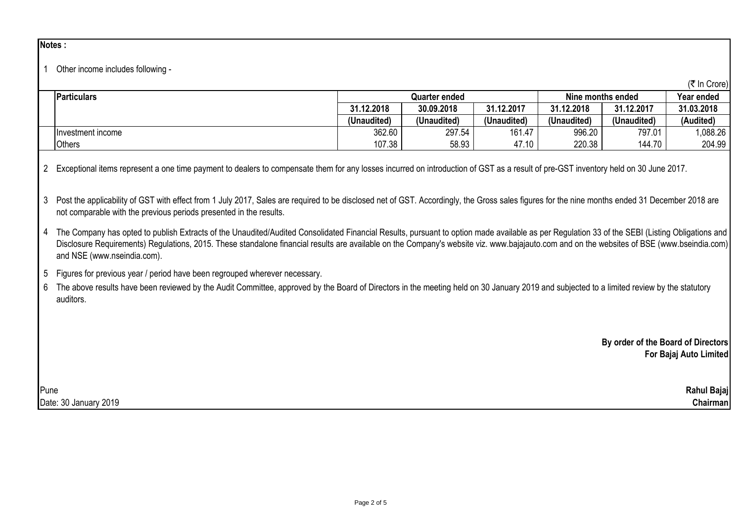## **Notes :**

#### 1 Other income includes following -

|                    |               |             |             |                   |             | (₹ In Crore) |
|--------------------|---------------|-------------|-------------|-------------------|-------------|--------------|
| <b>Particulars</b> | Quarter ended |             |             | Nine months ended | Year ended  |              |
|                    | 31.12.2018    | 30.09.2018  | 31.12.2017  | 31.12.2018        | 31.12.2017  | 31.03.2018   |
|                    | (Unaudited)   | (Unaudited) | (Unaudited) | (Unaudited)       | (Unaudited) | (Audited)    |
| Investment income  | 362.60        | 297.54      | 161.47      | 996.20            | 797.01      | .088.26      |
| <b>Others</b>      | 107.38        | 58.93       | 47.10       | 220.38            | 144.70      | 204.99       |

2 Exceptional items represent a one time payment to dealers to compensate them for any losses incurred on introduction of GST as a result of pre-GST inventory held on 30 June 2017.

3 Post the applicability of GST with effect from 1 July 2017, Sales are required to be disclosed net of GST. Accordingly, the Gross sales figures for the nine months ended 31 December 2018 are not comparable with the previous periods presented in the results.

4 The Company has opted to publish Extracts of the Unaudited/Audited Consolidated Financial Results, pursuant to option made available as per Regulation 33 of the SEBI (Listing Obligations and Disclosure Requirements) Requiations, 2015. These standalone financial results are available on the Company's website viz. www.bajajauto.com and on the websites of BSE (www.bseindia.com) and NSE (www.nseindia.com).

5 Figures for previous year / period have been regrouped wherever necessary.

6 The above results have been reviewed by the Audit Committee, approved by the Board of Directors in the meeting held on 30 January 2019 and subjected to a limited review by the statutory auditors.

> **By order of the Board of Directors For Bajaj Auto Limited**

Pune **Rahul Bajaj** Date: 30 January 2019 **Chairman**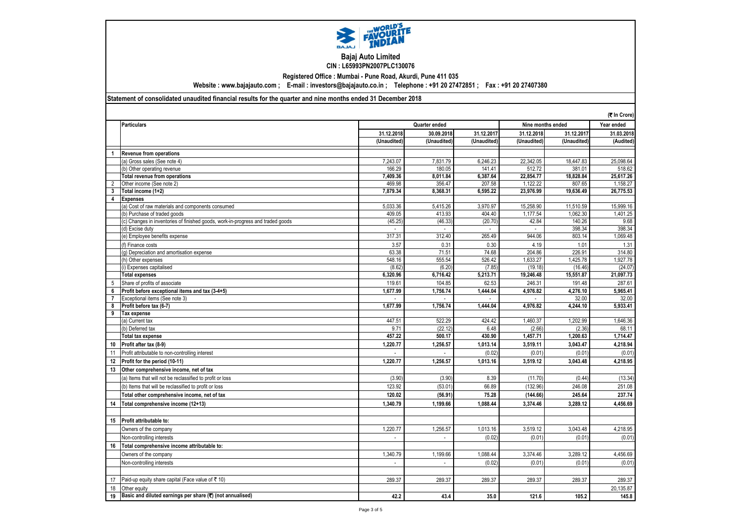

## **Bajaj Auto Limited CIN : L65993PN2007PLC130076**

**Registered Office : Mumbai - Pune Road, Akurdi, Pune 411 035**

**Website : www.bajajauto.com ; E-mail : investors@bajajauto.co.in ; Telephone : +91 20 27472851 ; Fax : +91 20 27407380**

### **Statement of consolidated unaudited financial results for the quarter and nine months ended 31 December 2018**

|                |                                                                                 |                |               |                          |                   |             | (₹ In Crore) |
|----------------|---------------------------------------------------------------------------------|----------------|---------------|--------------------------|-------------------|-------------|--------------|
|                | <b>Particulars</b>                                                              |                | Quarter ended |                          | Nine months ended | Year ended  |              |
|                |                                                                                 | 31.12.2018     | 30.09.2018    | 31.12.2017               | 31.12.2018        | 31.12.2017  | 31.03.2018   |
|                |                                                                                 | (Unaudited)    | (Unaudited)   | (Unaudited)              | (Unaudited)       | (Unaudited) | (Audited)    |
| $\mathbf{1}$   | <b>Revenue from operations</b>                                                  |                |               |                          |                   |             |              |
|                | (a) Gross sales (See note 4)                                                    | 7,243.07       | 7,831.79      | 6.246.23                 | 22.342.05         | 18,447.83   | 25,098.64    |
|                | (b) Other operating revenue                                                     | 166.29         | 180.05        | 141.41                   | 512.72            | 381.01      | 518.62       |
|                | Total revenue from operations                                                   | 7.409.36       | 8,011.84      | 6,387.64                 | 22,854.77         | 18,828.84   | 25,617.26    |
| $\overline{2}$ | Other income (See note 2)                                                       | 469.98         | 356.47        | 207.58                   | 1,122.22          | 807.65      | 1,158.27     |
| 3              | Total income (1+2)                                                              | 7,879.34       | 8,368.31      | 6,595.22                 | 23,976.99         | 19,636.49   | 26,775.53    |
| 4              | <b>Expenses</b>                                                                 |                |               |                          |                   |             |              |
|                | (a) Cost of raw materials and components consumed                               | 5,033.36       | 5,415.26      | 3,970.97                 | 15,258.90         | 11,510.59   | 15,999.16    |
|                | (b) Purchase of traded goods                                                    | 409.05         | 413.93        | 404.40                   | 1,177.54          | 1,062.30    | 1,401.25     |
|                | (c) Changes in inventories of finished goods, work-in-progress and traded goods | (45.25)        | (46.33)       | (20.70)                  | 42.84             | 140.26      | 9.68         |
|                | (d) Excise duty                                                                 |                |               | $\overline{\phantom{a}}$ |                   | 398.34      | 398.34       |
|                | (e) Employee benefits expense                                                   | 317.31         | 312.40        | 265.49                   | 944.06            | 803.14      | 1,069.48     |
|                | (f) Finance costs                                                               | 3.57           | 0.31          | 0.30                     | 4.19              | 1.01        | 1.31         |
|                | (g) Depreciation and amortisation expense                                       | 63.38          | 71.51         | 74.68                    | 204.86            | 226.91      | 314.80       |
|                | (h) Other expenses                                                              | 548.16         | 555.54        | 526.42                   | 1,633.27          | 1,425.78    | 1,927.78     |
|                | (i) Expenses capitalised                                                        | (8.62)         | (6.20)        | (7.85)                   | (19.18)           | (16.46)     | (24.07)      |
|                | <b>Total expenses</b>                                                           | 6,320.96       | 6,716.42      | 5,213.71                 | 19,246.48         | 15,551.87   | 21,097.73    |
| 5              | Share of profits of associate                                                   | 119.61         | 104.85        | 62.53                    | 246.31            | 191.48      | 287.61       |
| 6              | Profit before exceptional items and tax (3-4+5)                                 | 1,677.99       | 1,756.74      | 1,444.04                 | 4,976.82          | 4,276.10    | 5,965.41     |
|                | Exceptional items (See note 3)                                                  |                |               |                          |                   | 32.00       | 32.00        |
| 8              | Profit before tax (6-7)                                                         | 1.677.99       | 1,756.74      | 1.444.04                 | 4,976.82          | 4,244.10    | 5,933.41     |
| 9              | <b>Tax expense</b>                                                              |                |               |                          |                   |             |              |
|                | (a) Current tax                                                                 | 447.51         | 522.29        | 424.42                   | 1,460.37          | 1,202.99    | 1,646.36     |
|                | (b) Deferred tax                                                                | 9.71           | (22.12)       | 6.48                     | (2.66)            | (2.36)      | 68.11        |
|                | Total tax expense                                                               | 457.22         | 500.17        | 430.90                   | 1,457.71          | 1,200.63    | 1,714.47     |
| 10             | Profit after tax (8-9)                                                          | 1,220.77       | 1,256.57      | 1,013.14                 | 3,519.11          | 3,043.47    | 4,218.94     |
| 11             | Profit attributable to non-controlling interest                                 |                |               | (0.02)                   | (0.01)            | (0.01)      | (0.01)       |
| 12             | Profit for the period (10-11)                                                   | 1,220.77       | 1,256.57      | 1,013.16                 | 3,519.12          | 3,043.48    | 4,218.95     |
| 13             | Other comprehensive income, net of tax                                          |                |               |                          |                   |             |              |
|                | (a) Items that will not be reclassified to profit or loss                       | (3.90)         | (3.90)        | 8.39                     | (11.70)           | (0.44)      | (13.34)      |
|                | (b) Items that will be reclassified to profit or loss                           | 123.92         | (53.01)       | 66.89                    | (132.96)          | 246.08      | 251.08       |
|                | Total other comprehensive income, net of tax                                    | 120.02         | (56.91)       | 75.28                    | (144.66)          | 245.64      | 237.74       |
| 14             | Total comprehensive income (12+13)                                              | 1.340.79       | 1,199.66      | 1,088.44                 | 3,374.46          | 3,289.12    | 4,456.69     |
|                |                                                                                 |                |               |                          |                   |             |              |
| 15             | Profit attributable to:                                                         |                |               |                          |                   |             |              |
|                | Owners of the company                                                           | 1,220.77       | 1,256.57      | 1,013.16                 | 3,519.12          | 3,043.48    | 4,218.95     |
|                | Non-controlling interests                                                       | -              | $\sim$        | (0.02)                   | (0.01)            | (0.01)      | (0.01)       |
|                |                                                                                 |                |               |                          |                   |             |              |
|                | 16 Total comprehensive income attributable to:                                  |                |               |                          |                   |             |              |
|                | Owners of the company                                                           | 1,340.79       | 1,199.66      | 1,088.44                 | 3,374.46          | 3,289.12    | 4,456.69     |
|                | Non-controlling interests                                                       | $\overline{a}$ | $\sim$        | (0.02)                   | (0.01)            | (0.01)      | (0.01)       |
|                |                                                                                 |                |               |                          |                   |             |              |
| 17             | Paid-up equity share capital (Face value of ₹ 10)                               | 289.37         | 289.37        | 289.37                   | 289.37            | 289.37      | 289.37       |
| 18             | Other equity                                                                    |                |               |                          |                   |             | 20,135.87    |
| 19             | Basic and diluted earnings per share (₹) (not annualised)                       | 42.2           | 43.4          | 35.0                     | 121.6             | 105.2       | 145.8        |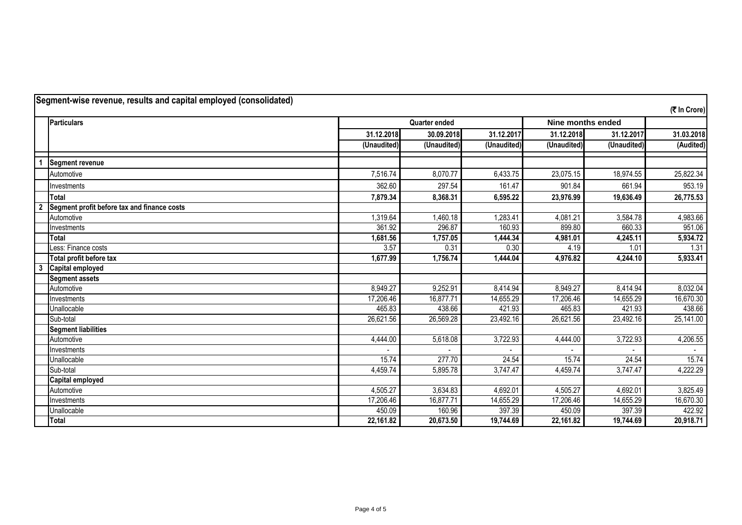| Segment-wise revenue, results and capital employed (consolidated) |                                             |                                           |             |             |             |             |              |
|-------------------------------------------------------------------|---------------------------------------------|-------------------------------------------|-------------|-------------|-------------|-------------|--------------|
|                                                                   |                                             |                                           |             |             |             |             | (₹ In Crore) |
|                                                                   | <b>Particulars</b>                          | <b>Quarter ended</b><br>Nine months ended |             |             |             |             |              |
|                                                                   |                                             | 31.12.2018                                | 30.09.2018  | 31.12.2017  | 31.12.2018  | 31.12.2017  | 31.03.2018   |
|                                                                   |                                             | (Unaudited)                               | (Unaudited) | (Unaudited) | (Unaudited) | (Unaudited) | (Audited)    |
|                                                                   |                                             |                                           |             |             |             |             |              |
|                                                                   | <b>Segment revenue</b>                      |                                           |             |             |             |             |              |
|                                                                   | Automotive                                  | 7,516.74                                  | 8,070.77    | 6,433.75    | 23,075.15   | 18,974.55   | 25,822.34    |
|                                                                   | Investments                                 | 362.60                                    | 297.54      | 161.47      | 901.84      | 661.94      | 953.19       |
|                                                                   | <b>Total</b>                                | 7,879.34                                  | 8,368.31    | 6,595.22    | 23,976.99   | 19,636.49   | 26,775.53    |
| $\overline{\mathbf{2}}$                                           | Segment profit before tax and finance costs |                                           |             |             |             |             |              |
|                                                                   | Automotive                                  | 1,319.64                                  | 1,460.18    | 1,283.41    | 4,081.21    | 3,584.78    | 4,983.66     |
|                                                                   | Investments                                 | 361.92                                    | 296.87      | 160.93      | 899.80      | 660.33      | 951.06       |
|                                                                   | Total                                       | 1,681.56                                  | 1,757.05    | 1,444.34    | 4,981.01    | 4,245.11    | 5,934.72     |
|                                                                   | Less: Finance costs                         | 3.57                                      | 0.31        | 0.30        | 4.19        | 1.01        | 1.31         |
|                                                                   | Total profit before tax                     | 1,677.99                                  | 1,756.74    | 1,444.04    | 4,976.82    | 4,244.10    | 5,933.41     |
| د                                                                 | <b>Capital employed</b>                     |                                           |             |             |             |             |              |
|                                                                   | <b>Segment assets</b>                       |                                           |             |             |             |             |              |
|                                                                   | Automotive                                  | 8.949.27                                  | 9,252.91    | 8,414.94    | 8,949.27    | 8,414.94    | 8,032.04     |
|                                                                   | Investments                                 | 17,206.46                                 | 16,877.71   | 14,655.29   | 17,206.46   | 14,655.29   | 16,670.30    |
|                                                                   | Unallocable                                 | 465.83                                    | 438.66      | 421.93      | 465.83      | 421.93      | 438.66       |
|                                                                   | Sub-total                                   | 26,621.56                                 | 26,569.28   | 23,492.16   | 26,621.56   | 23,492.16   | 25,141.00    |
|                                                                   | <b>Segment liabilities</b>                  |                                           |             |             |             |             |              |
|                                                                   | Automotive                                  | 4,444.00                                  | 5,618.08    | 3,722.93    | 4,444.00    | 3,722.93    | 4,206.55     |
|                                                                   | Investments                                 |                                           |             |             |             |             |              |
|                                                                   | Unallocable                                 | 15.74                                     | 277.70      | 24.54       | 15.74       | 24.54       | 15.74        |
|                                                                   | Sub-total                                   | 4,459.74                                  | 5,895.78    | 3,747.47    | 4,459.74    | 3,747.47    | 4,222.29     |
|                                                                   | Capital employed                            |                                           |             |             |             |             |              |
|                                                                   | Automotive                                  | 4,505.27                                  | 3,634.83    | 4,692.01    | 4,505.27    | 4,692.01    | 3,825.49     |
|                                                                   | Investments                                 | 17,206.46                                 | 16,877.71   | 14,655.29   | 17,206.46   | 14,655.29   | 16,670.30    |
|                                                                   | Unallocable                                 | 450.09                                    | 160.96      | 397.39      | 450.09      | 397.39      | 422.92       |
|                                                                   | Total                                       | 22,161.82                                 | 20,673.50   | 19,744.69   | 22,161.82   | 19,744.69   | 20,918.71    |